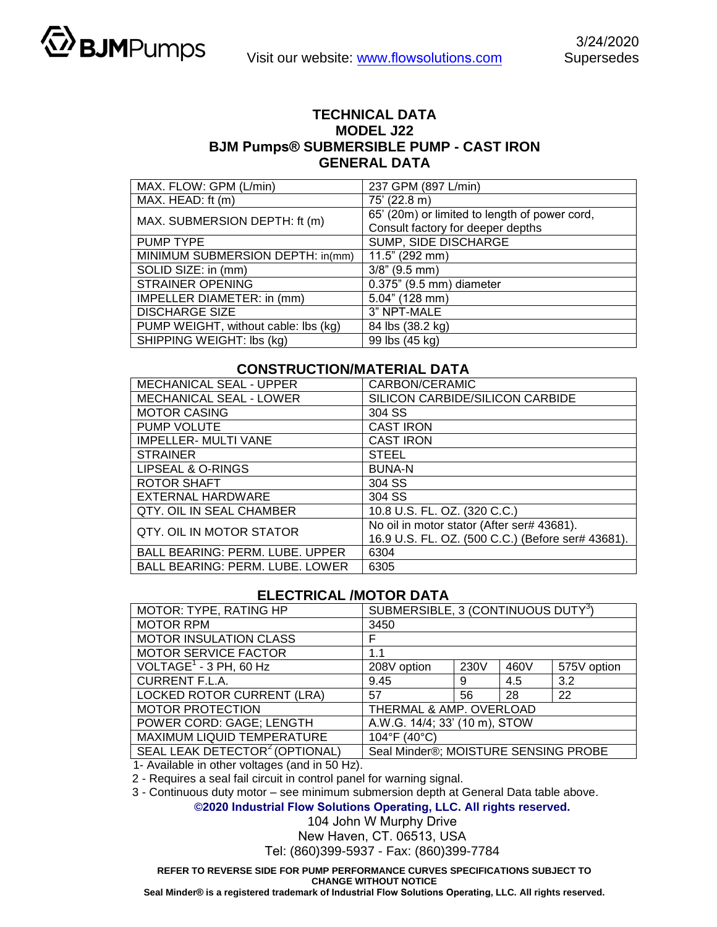

## **TECHNICAL DATA MODEL J22 BJM Pumps® SUBMERSIBLE PUMP - CAST IRON GENERAL DATA**

| MAX. FLOW: GPM (L/min)               | 237 GPM (897 L/min)                           |  |  |
|--------------------------------------|-----------------------------------------------|--|--|
| MAX. HEAD: ft (m)                    | 75' (22.8 m)                                  |  |  |
| MAX. SUBMERSION DEPTH: ft (m)        | 65' (20m) or limited to length of power cord, |  |  |
|                                      | Consult factory for deeper depths             |  |  |
| <b>PUMP TYPE</b>                     | SUMP, SIDE DISCHARGE                          |  |  |
| MINIMUM SUBMERSION DEPTH: in(mm)     | $11.5$ " (292 mm)                             |  |  |
| SOLID SIZE: in (mm)                  | $3/8$ " (9.5 mm)                              |  |  |
| <b>STRAINER OPENING</b>              | 0.375" (9.5 mm) diameter                      |  |  |
| IMPELLER DIAMETER: in (mm)           | 5.04" (128 mm)                                |  |  |
| <b>DISCHARGE SIZE</b>                | 3" NPT-MALE                                   |  |  |
| PUMP WEIGHT, without cable: lbs (kg) | 84 lbs (38.2 kg)                              |  |  |
| SHIPPING WEIGHT: Ibs (kg)            | 99 lbs (45 kg)                                |  |  |

## **CONSTRUCTION/MATERIAL DATA**

| <b>MECHANICAL SEAL - UPPER</b>         | CARBON/CERAMIC                                                                                  |  |  |  |
|----------------------------------------|-------------------------------------------------------------------------------------------------|--|--|--|
| <b>MECHANICAL SEAL - LOWER</b>         | SILICON CARBIDE/SILICON CARBIDE                                                                 |  |  |  |
| <b>MOTOR CASING</b>                    | 304 SS                                                                                          |  |  |  |
| <b>PUMP VOLUTE</b>                     | <b>CAST IRON</b>                                                                                |  |  |  |
| <b>IMPELLER- MULTI VANE</b>            | <b>CAST IRON</b>                                                                                |  |  |  |
| <b>STRAINER</b>                        | <b>STEEL</b>                                                                                    |  |  |  |
| LIPSEAL & O-RINGS                      | <b>BUNA-N</b>                                                                                   |  |  |  |
| <b>ROTOR SHAFT</b>                     | 304 SS                                                                                          |  |  |  |
| EXTERNAL HARDWARE                      | 304 SS                                                                                          |  |  |  |
| QTY. OIL IN SEAL CHAMBER               | 10.8 U.S. FL. OZ. (320 C.C.)                                                                    |  |  |  |
| QTY. OIL IN MOTOR STATOR               | No oil in motor stator (After ser# 43681).<br>16.9 U.S. FL. OZ. (500 C.C.) (Before ser# 43681). |  |  |  |
| BALL BEARING: PERM. LUBE. UPPER        | 6304                                                                                            |  |  |  |
| <b>BALL BEARING: PERM. LUBE. LOWER</b> | 6305                                                                                            |  |  |  |

## **ELECTRICAL /MOTOR DATA**

| MOTOR: TYPE, RATING HP                     | SUBMERSIBLE, 3 (CONTINUOUS DUTY <sup>3</sup> ) |      |      |             |  |
|--------------------------------------------|------------------------------------------------|------|------|-------------|--|
| <b>MOTOR RPM</b>                           | 3450                                           |      |      |             |  |
| <b>MOTOR INSULATION CLASS</b>              | F                                              |      |      |             |  |
| <b>MOTOR SERVICE FACTOR</b>                | 1.1                                            |      |      |             |  |
| VOLTAGE <sup>1</sup> - 3 PH, 60 Hz         | 208V option                                    | 230V | 460V | 575V option |  |
| <b>CURRENT F.L.A.</b>                      | 9.45                                           | 9    | 4.5  | 3.2         |  |
| LOCKED ROTOR CURRENT (LRA)                 | 57                                             | 56   | 28   | 22          |  |
| <b>MOTOR PROTECTION</b>                    | THERMAL & AMP. OVERLOAD                        |      |      |             |  |
| POWER CORD: GAGE; LENGTH                   | A.W.G. 14/4; 33' (10 m), STOW                  |      |      |             |  |
| MAXIMUM LIQUID TEMPERATURE                 | $104^{\circ}F(40^{\circ}C)$                    |      |      |             |  |
| SEAL LEAK DETECTOR <sup>2</sup> (OPTIONAL) | Seal Minder®; MOISTURE SENSING PROBE           |      |      |             |  |

1- Available in other voltages (and in 50 Hz).

2 - Requires a seal fail circuit in control panel for warning signal.

3 - Continuous duty motor – see minimum submersion depth at General Data table above.

**©2020 Industrial Flow Solutions Operating, LLC. All rights reserved.** 

104 John W Murphy Drive

New Haven, CT. 06513, USA

Tel: (860)399-5937 - Fax: (860)399-7784

**REFER TO REVERSE SIDE FOR PUMP PERFORMANCE CURVES SPECIFICATIONS SUBJECT TO CHANGE WITHOUT NOTICE** 

**Seal Minder® is a registered trademark of Industrial Flow Solutions Operating, LLC. All rights reserved.**